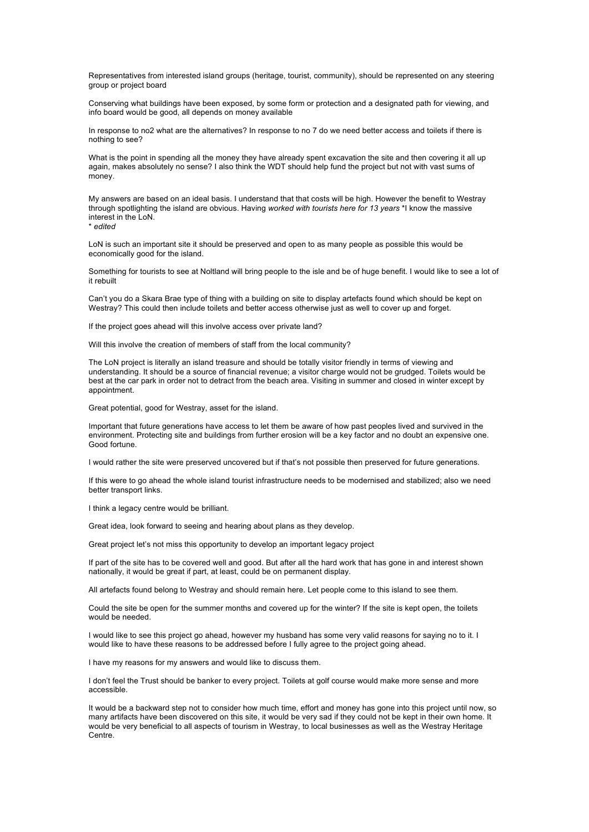Representatives from interested island groups (heritage, tourist, community), should be represented on any steering group or project board

Conserving what buildings have been exposed, by some form or protection and a designated path for viewing, and info board would be good, all depends on money available

In response to no2 what are the alternatives? In response to no 7 do we need better access and toilets if there is nothing to see?

What is the point in spending all the money they have already spent excavation the site and then covering it all up again, makes absolutely no sense? I also think the WDT should help fund the project but not with vast sums of money.

My answers are based on an ideal basis. I understand that that costs will be high. However the benefit to Westray through spotlighting the island are obvious. Having *worked with tourists here for 13 years* \*I know the massive interest in the LoN. \* *edited*

LoN is such an important site it should be preserved and open to as many people as possible this would be economically good for the island.

Something for tourists to see at Noltland will bring people to the isle and be of huge benefit. I would like to see a lot of it rebuilt

Can't you do a Skara Brae type of thing with a building on site to display artefacts found which should be kept on Westray? This could then include toilets and better access otherwise just as well to cover up and forget.

If the project goes ahead will this involve access over private land?

Will this involve the creation of members of staff from the local community?

The LoN project is literally an island treasure and should be totally visitor friendly in terms of viewing and understanding. It should be a source of financial revenue; a visitor charge would not be grudged. Toilets would be best at the car park in order not to detract from the beach area. Visiting in summer and closed in winter except by appointment.

Great potential, good for Westray, asset for the island.

Important that future generations have access to let them be aware of how past peoples lived and survived in the environment. Protecting site and buildings from further erosion will be a key factor and no doubt an expensive one. Good fortune.

I would rather the site were preserved uncovered but if that's not possible then preserved for future generations.

If this were to go ahead the whole island tourist infrastructure needs to be modernised and stabilized; also we need better transport links.

I think a legacy centre would be brilliant.

Great idea, look forward to seeing and hearing about plans as they develop.

Great project let's not miss this opportunity to develop an important legacy project

If part of the site has to be covered well and good. But after all the hard work that has gone in and interest shown nationally, it would be great if part, at least, could be on permanent display.

All artefacts found belong to Westray and should remain here. Let people come to this island to see them.

Could the site be open for the summer months and covered up for the winter? If the site is kept open, the toilets would be needed.

I would like to see this project go ahead, however my husband has some very valid reasons for saying no to it. I would like to have these reasons to be addressed before I fully agree to the project going ahead.

I have my reasons for my answers and would like to discuss them.

I don't feel the Trust should be banker to every project. Toilets at golf course would make more sense and more accessible.

It would be a backward step not to consider how much time, effort and money has gone into this project until now, so many artifacts have been discovered on this site, it would be very sad if they could not be kept in their own home. It would be very beneficial to all aspects of tourism in Westray, to local businesses as well as the Westray Heritage Centre.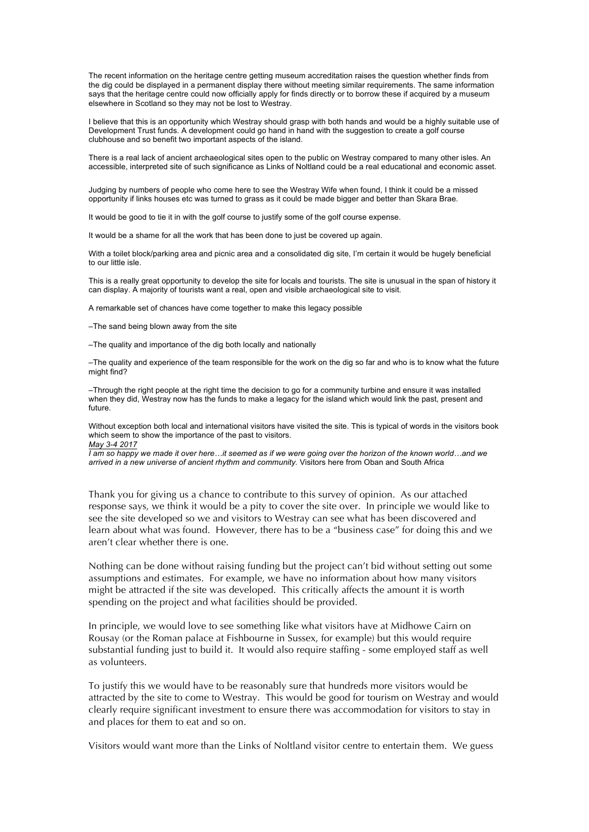The recent information on the heritage centre getting museum accreditation raises the question whether finds from the dig could be displayed in a permanent display there without meeting similar requirements. The same information says that the heritage centre could now officially apply for finds directly or to borrow these if acquired by a museum elsewhere in Scotland so they may not be lost to Westray.

I believe that this is an opportunity which Westray should grasp with both hands and would be a highly suitable use of Development Trust funds. A development could go hand in hand with the suggestion to create a golf course clubhouse and so benefit two important aspects of the island.

There is a real lack of ancient archaeological sites open to the public on Westray compared to many other isles. An accessible, interpreted site of such significance as Links of Noltland could be a real educational and economic asset.

Judging by numbers of people who come here to see the Westray Wife when found, I think it could be a missed opportunity if links houses etc was turned to grass as it could be made bigger and better than Skara Brae.

It would be good to tie it in with the golf course to justify some of the golf course expense.

It would be a shame for all the work that has been done to just be covered up again.

With a toilet block/parking area and picnic area and a consolidated dig site, I'm certain it would be hugely beneficial to our little isle.

This is a really great opportunity to develop the site for locals and tourists. The site is unusual in the span of history it can display. A majority of tourists want a real, open and visible archaeological site to visit.

A remarkable set of chances have come together to make this legacy possible

–The sand being blown away from the site

–The quality and importance of the dig both locally and nationally

–The quality and experience of the team responsible for the work on the dig so far and who is to know what the future might find?

–Through the right people at the right time the decision to go for a community turbine and ensure it was installed when they did, Westray now has the funds to make a legacy for the island which would link the past, present and future.

Without exception both local and international visitors have visited the site. This is typical of words in the visitors book which seem to show the importance of the past to visitors. *May 3-4 2017*

*I am so happy we made it over here…it seemed as if we were going over the horizon of the known world…and we arrived in a new universe of ancient rhythm and community.* Visitors here from Oban and South Africa

Thank you for giving us a chance to contribute to this survey of opinion. As our attached response says, we think it would be a pity to cover the site over. In principle we would like to see the site developed so we and visitors to Westray can see what has been discovered and learn about what was found. However, there has to be a "business case" for doing this and we aren't clear whether there is one.

Nothing can be done without raising funding but the project can't bid without setting out some assumptions and estimates. For example, we have no information about how many visitors might be attracted if the site was developed. This critically affects the amount it is worth spending on the project and what facilities should be provided.

In principle, we would love to see something like what visitors have at Midhowe Cairn on Rousay (or the Roman palace at Fishbourne in Sussex, for example) but this would require substantial funding just to build it. It would also require staffing - some employed staff as well as volunteers.

To justify this we would have to be reasonably sure that hundreds more visitors would be attracted by the site to come to Westray. This would be good for tourism on Westray and would clearly require significant investment to ensure there was accommodation for visitors to stay in and places for them to eat and so on.

Visitors would want more than the Links of Noltland visitor centre to entertain them. We guess